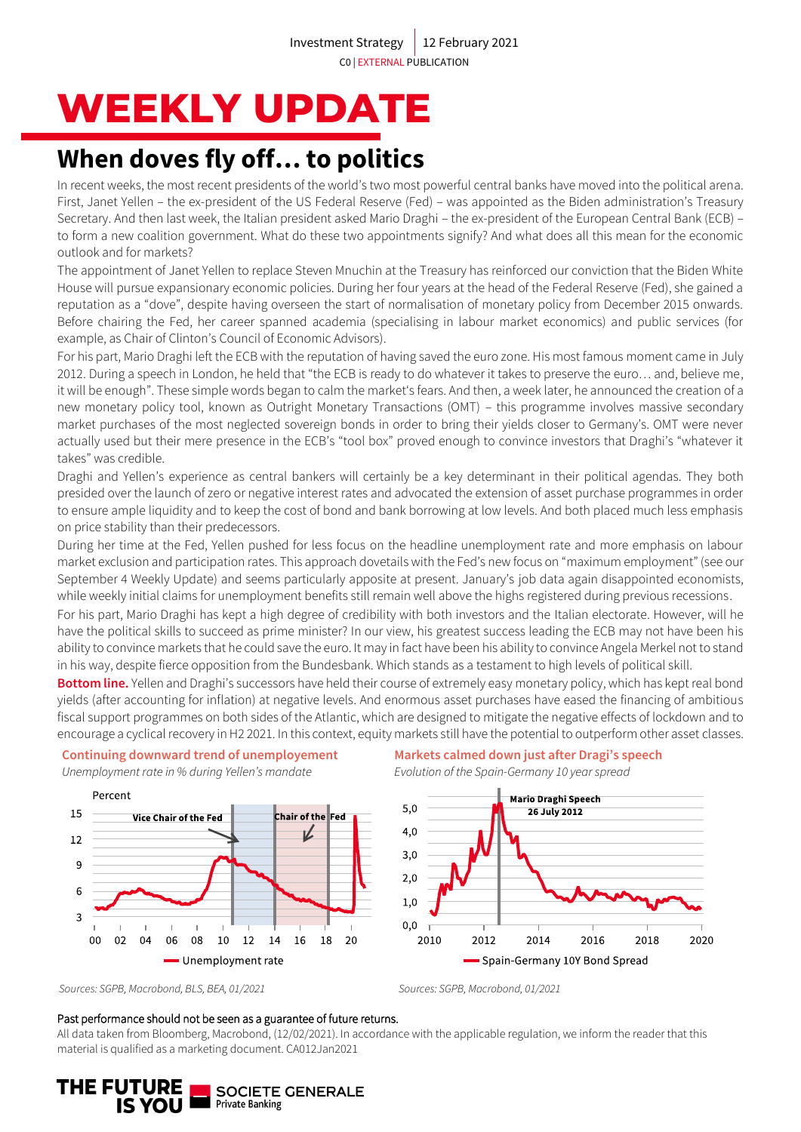# **WEEKLY UPDATE**

# **When doves fly off… to politics**

In recent weeks, the most recent presidents of the world's two most powerful central banks have moved into the political arena. First, Janet Yellen – the ex-president of the US Federal Reserve (Fed) – was appointed as the Biden administration's Treasury Secretary. And then last week, the Italian president asked Mario Draghi – the ex-president of the European Central Bank (ECB) – to form a new coalition government. What do these two appointments signify? And what does all this mean for the economic outlook and for markets?

The appointment of Janet Yellen to replace Steven Mnuchin at the Treasury has reinforced our conviction that the Biden White House will pursue expansionary economic policies. During her four years at the head of the Federal Reserve (Fed), she gained a reputation as a "dove", despite having overseen the start of normalisation of monetary policy from December 2015 onwards. Before chairing the Fed, her career spanned academia (specialising in labour market economics) and public services (for example, as Chair of Clinton's Council of Economic Advisors).

For his part, Mario Draghi left the ECB with the reputation of having saved the euro zone. His most famous moment came in July 2012. During a speech in London, he held that "the ECB is ready to do whatever it takes to preserve the euro… and, believe me, it will be enough". These simple words began to calm the market's fears. And then, a week later, he announced the creation of a new monetary policy tool, known as Outright Monetary Transactions (OMT) – this programme involves massive secondary market purchases of the most neglected sovereign bonds in order to bring their yields closer to Germany's. OMT were never actually used but their mere presence in the ECB's "tool box" proved enough to convince investors that Draghi's "whatever it takes" was credible.

Draghi and Yellen's experience as central bankers will certainly be a key determinant in their political agendas. They both presided over the launch of zero or negative interest rates and advocated the extension of asset purchase programmes in order to ensure ample liquidity and to keep the cost of bond and bank borrowing at low levels. And both placed much less emphasis on price stability than their predecessors.

During her time at the Fed, Yellen pushed for less focus on the headline unemployment rate and more emphasis on labour market exclusion and participation rates. This approach dovetails with the Fed's new focus on "maximum employment" (see our September 4 Weekly Update) and seems particularly apposite at present. January's job data again disappointed economists, while weekly initial claims for unemployment benefits still remain well above the highs registered during previous recessions.

For his part, Mario Draghi has kept a high degree of credibility with both investors and the Italian electorate. However, will he have the political skills to succeed as prime minister? In our view, his greatest success leading the ECB may not have been his ability to convince markets that he could save the euro. It may in fact have been his ability to convince Angela Merkel not to stand in his way, despite fierce opposition from the Bundesbank. Which stands as a testament to high levels of political skill.

**Bottom line.** Yellen and Draghi's successors have held their course of extremely easy monetary policy, which has kept real bond yields (after accounting for inflation) at negative levels. And enormous asset purchases have eased the financing of ambitious fiscal support programmes on both sides of the Atlantic, which are designed to mitigate the negative effects of lockdown and to encourage a cyclical recovery in H2 2021. In this context, equity markets still have the potential to outperform other asset classes.



**Continuing downward trend of unemployement**

### **Markets calmed down just after Dragi's speech** *Evolution of the Spain-Germany 10 year spread*



*Sources: SGPB, Macrobond, BLS, BEA, 01/2021 Sources: SGPB, Macrobond, 01/2021*

#### Past performance should not be seen as a guarantee of future returns.

All data taken from Bloomberg, Macrobond, (12/02/2021). In accordance with the applicable regulation, we inform the reader that this material is qualified as a marketing document. CA012Jan2021

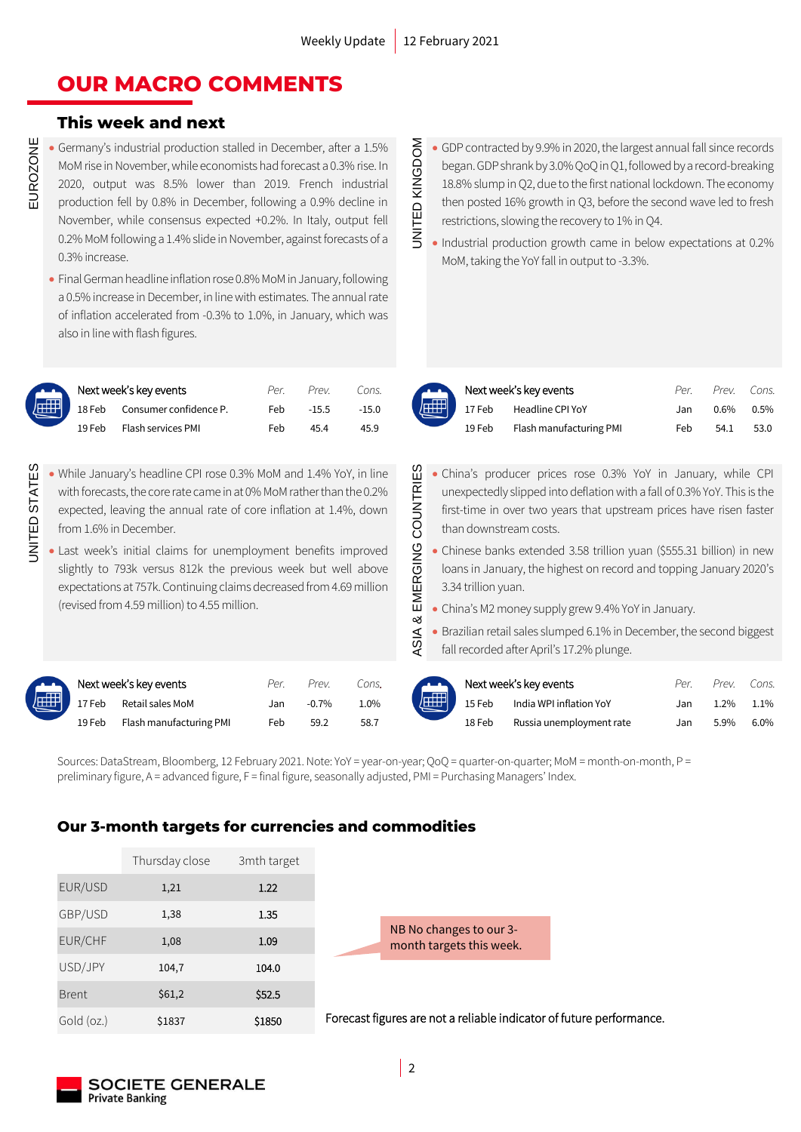### **OUR MACRO COMMENTS**

### **This week and next**

- Germany's industrial production stalled in December, after a 1.5% MoM rise in November, while economists had forecast a 0.3% rise. In 2020, output was 8.5% lower than 2019. French industrial production fell by 0.8% in December, following a 0.9% decline in November, while consensus expected +0.2%. In Italy, output fell 0.2% MoM following a 1.4% slide in November, against forecasts of a 0.3% increase.
- Final German headline inflation rose 0.8% MoM in January, following a 0.5% increase in December, in line with estimates. The annual rate of inflation accelerated from -0.3% to 1.0%, in January, which was also in line with flash figures.

|   | Next week's key events |                        |     | Prev.   | Cons.   |    | Next week's key events |                         | Per | Prev    | Cons. |
|---|------------------------|------------------------|-----|---------|---------|----|------------------------|-------------------------|-----|---------|-------|
| 刵 | 18 Feb                 | Consumer confidence P. | Feb | $-15.5$ | $-15.0$ | 屈用 | 17 Feb                 | Headline CPI YoY        | Jar | $0.6\%$ | 0.5%  |
|   | 19 Feb                 | Flash services PMI     | Feb | 45.4    | 45.9    |    | 19 Feb                 | Flash manufacturing PMI | Feh | 54 1    | 53.0  |

- UNITED STATES • While January's headline CPI rose 0.3% MoM and 1.4% YoY, in line with forecasts, the core rate came in at 0% MoMrather than the 0.2% expected, leaving the annual rate of core inflation at 1.4%, down from 1.6% in December.
	- Last week's initial claims for unemployment benefits improved slightly to 793k versus 812k the previous week but well above expectations at 757k. Continuing claims decreased from 4.69 million (revised from 4.59 million) to 4.55 million.

**INITED STATES** 

|        | Next week's key events  | Per. | Prev.    | Cons.   |
|--------|-------------------------|------|----------|---------|
|        | 17 Feb Retail sales MoM | Jan  | $-0.7\%$ | $1.0\%$ |
| 19 Feb | Flash manufacturing PMI | Feb  | 59.2     | 58.7    |

- UNITED KINGDOM • GDP contracted by 9.9% in 2020, the largest annual fall since records began. GDP shrank by 3.0% QoQ in Q1, followed by a record-breaking 18.8% slump in Q2, due to the first national lockdown. The economy then posted 16% growth in Q3, before the second wave led to fresh restrictions, slowing the recovery to 1% in Q4.
- JNITED KINGDOM • Industrial production growth came in below expectations at 0.2% MoM, taking the YoY fall in output to -3.3%.



EMERGING COUNTRIES

య ASIA &

|        | Next week's key events  |     | Per. Prev. Cons |      |
|--------|-------------------------|-----|-----------------|------|
|        | 17 Feb Headline CPI YoY | Jan | $0.6\%$ 0.5%    |      |
| 19 Feb | Flash manufacturing PMI | Feb | 54.1            | 53.0 |

- ASIA & EMERGING COUNTRIES • China's producer prices rose 0.3% YoY in January, while CPI unexpectedly slipped into deflation with a fall of 0.3% YoY. This is the first-time in over two years that upstream prices have risen faster than downstream costs.
	- Chinese banks extended 3.58 trillion yuan (\$555.31 billion) in new loans in January, the highest on record and topping January 2020's 3.34 trillion yuan.
	- China's M2 money supply grew 9.4% YoY in January.
	- Brazilian retail sales slumped 6.1% in December, the second biggest fall recorded after April's 17.2% plunge.

| Next week's key events |                         | Per. | Prev.   | Cons. | Next week's key events     |                          | Per | Prev. | Cons.   |
|------------------------|-------------------------|------|---------|-------|----------------------------|--------------------------|-----|-------|---------|
| 17 Feb                 | Retail sales MoM        | Jan  | $-0.7%$ | 1.0%  | $\sqrt{\text{HHP}}$ 15 Feb | India WPI inflation YoY  |     | .2%   | $1.1\%$ |
| 19 Feb                 | Flash manufacturing PMI | Feb  | 59.2    | 58.7  | 18 Feb                     | Russia unemployment rate |     | 5.9%  | $6.0\%$ |

Sources: DataStream, Bloomberg, 12 February 2021. Note: YoY = year-on-year; QoQ = quarter-on-quarter; MoM = month-on-month, P = preliminary figure, A = advanced figure, F = final figure, seasonally adjusted, PMI = Purchasing Managers' Index.

### **Our 3-month targets for currencies and commodities**

|              | Thursday close | 3mth target |
|--------------|----------------|-------------|
| EUR/USD      | 1,21           | 1.22        |
| GBP/USD      | 1,38           | 1.35        |
| EUR/CHF      | 1,08           | 1.09        |
| USD/JPY      | 104,7          | 104.0       |
| <b>Brent</b> | \$61,2         | \$52.5      |
| Gold (oz.)   | \$1837         | \$1850      |



Forecast figures are not a reliable indicator of future performance.

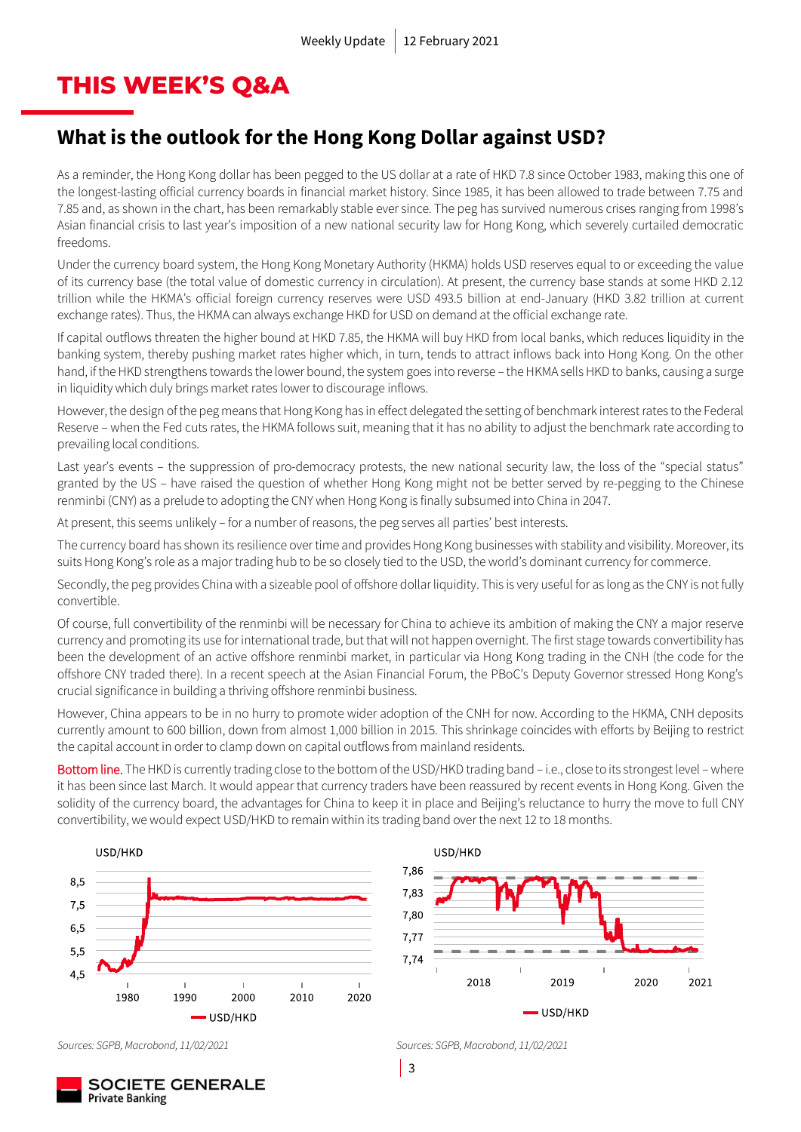### **THIS WEEK'S Q&A**

### **What is the outlook for the Hong Kong Dollar against USD?**

As a reminder, the Hong Kong dollar has been pegged to the US dollar at a rate of HKD 7.8 since October 1983, making this one of the longest-lasting official currency boards in financial market history. Since 1985, it has been allowed to trade between 7.75 and 7.85 and, as shown in the chart, has been remarkably stable ever since. The peg has survived numerous crises ranging from 1998's Asian financial crisis to last year's imposition of a new national security law for Hong Kong, which severely curtailed democratic freedoms.

Under the currency board system, the Hong Kong Monetary Authority (HKMA) holds USD reserves equal to or exceeding the value of its currency base (the total value of domestic currency in circulation). At present, the currency base stands at some HKD 2.12 trillion while the HKMA's official foreign currency reserves were USD 493.5 billion at end-January (HKD 3.82 trillion at current exchange rates). Thus, the HKMA can always exchange HKD for USD on demand at the official exchange rate.

If capital outflows threaten the higher bound at HKD 7.85, the HKMA will buy HKD from local banks, which reduces liquidity in the banking system, thereby pushing market rates higher which, in turn, tends to attract inflows back into Hong Kong. On the other hand, if the HKD strengthens towards the lower bound, the system goes into reverse – the HKMA sells HKD to banks, causing a surge in liquidity which duly brings market rates lower to discourage inflows.

However, the design of the peg means that Hong Kong has in effect delegated the setting of benchmark interest rates to the Federal Reserve – when the Fed cuts rates, the HKMA follows suit, meaning that it has no ability to adjust the benchmark rate according to prevailing local conditions.

Last year's events – the suppression of pro-democracy protests, the new national security law, the loss of the "special status" granted by the US – have raised the question of whether Hong Kong might not be better served by re-pegging to the Chinese renminbi (CNY) as a prelude to adopting the CNY when Hong Kong is finally subsumed into China in 2047.

At present, this seems unlikely – for a number of reasons, the peg serves all parties' best interests.

The currency board has shown its resilience over time and provides Hong Kong businesses with stability and visibility. Moreover, its suits Hong Kong's role as a major trading hub to be so closely tied to the USD, the world's dominant currency for commerce.

Secondly, the peg provides China with a sizeable pool of offshore dollar liquidity. This is very useful for as long as the CNY is not fully convertible.

Of course, full convertibility of the renminbi will be necessary for China to achieve its ambition of making the CNY a major reserve currency and promoting its use for international trade, but that will not happen overnight. The first stage towards convertibility has been the development of an active offshore renminbi market, in particular via Hong Kong trading in the CNH (the code for the offshore CNY traded there). In a recent speech at the Asian Financial Forum, the PBoC's Deputy Governor stressed Hong Kong's crucial significance in building a thriving offshore renminbi business.

However, China appears to be in no hurry to promote wider adoption of the CNH for now. According to the HKMA, CNH deposits currently amount to 600 billion, down from almost 1,000 billion in 2015. This shrinkage coincides with efforts by Beijing to restrict the capital account in order to clamp down on capital outflows from mainland residents.

Bottom line. The HKD is currently trading close to the bottom of the USD/HKD trading band – i.e., close to its strongest level – where it has been since last March. It would appear that currency traders have been reassured by recent events in Hong Kong. Given the solidity of the currency board, the advantages for China to keep it in place and Beijing's reluctance to hurry the move to full CNY convertibility, we would expect USD/HKD to remain within its trading band over the next 12 to 18 months.





*Sources: SGPB, Macrobond, 11/02/2021 Sources: SGPB, Macrobond, 11/02/2021*

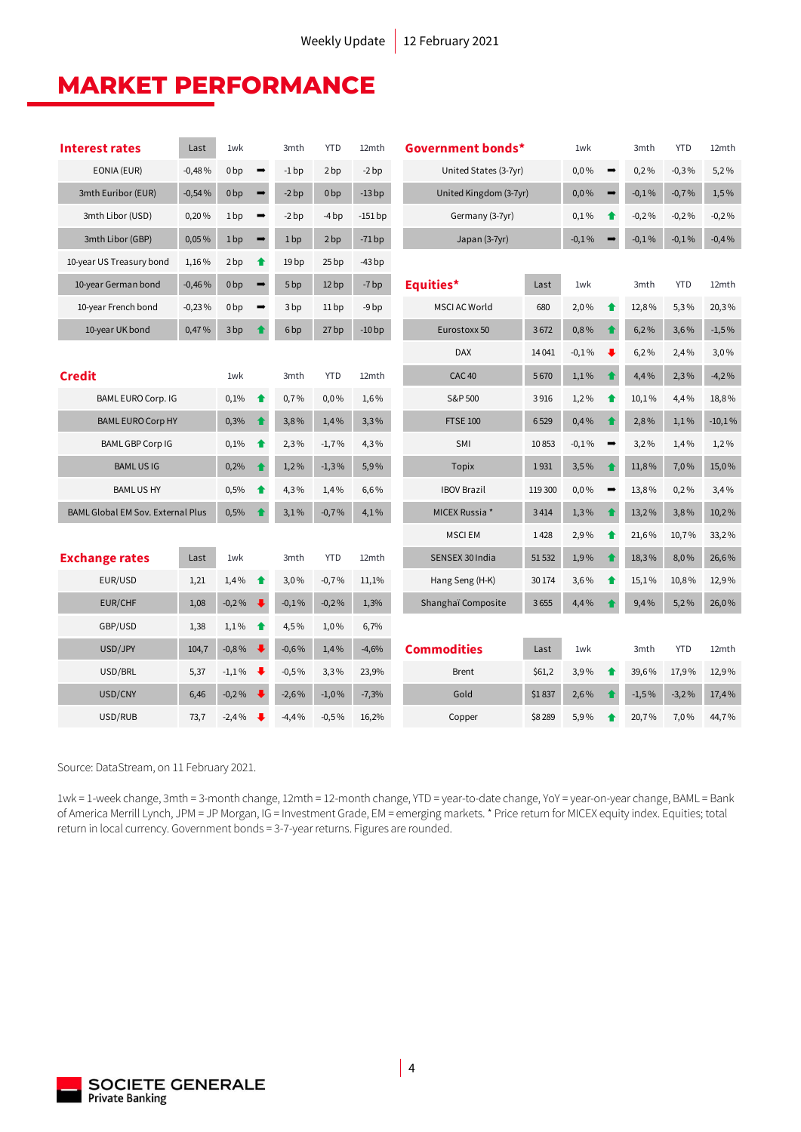## **MARKET PERFORMANCE**

| <b>Interest rates</b>                    | Last     | 1wk             |                                 | 3mth             | <b>YTD</b>       | 12mth     |                        | Government bonds*      |         |                      | 3mth    | <b>YTD</b> | 12mth    |
|------------------------------------------|----------|-----------------|---------------------------------|------------------|------------------|-----------|------------------------|------------------------|---------|----------------------|---------|------------|----------|
| EONIA (EUR)<br>$-0,48%$                  |          | 0 <sub>bp</sub> | $\rightarrow$                   | $-1$ bp          | 2bp              | $-2bp$    |                        | United States (3-7yr)  |         | $\rightarrow$        | 0,2%    | $-0,3%$    | 5,2%     |
| 3mth Euribor (EUR)<br>$-0,54%$           |          | 0 <sub>bp</sub> | $\rightarrow$                   | $-2bp$           | 0 <sub>bp</sub>  | $-13bp$   |                        | United Kingdom (3-7yr) |         | $\rightarrow$        | $-0,1%$ | $-0,7%$    | 1,5%     |
| 3mth Libor (USD)                         | 0,20%    | 1 <sub>bp</sub> | $\qquad \qquad \Longrightarrow$ | $-2bp$           | $-4bp$           | $-151$ bp | Germany (3-7yr)        |                        |         | ♠                    | $-0,2%$ | $-0,2%$    | $-0,2%$  |
| 3mth Libor (GBP)                         | 0,05%    | 1 <sub>bp</sub> | $\qquad \qquad \rightarrow$     | 1bp              | 2bp              | $-71bp$   | Japan (3-7yr)          |                        |         |                      | $-0,1%$ | $-0,1%$    | $-0,4%$  |
| 10-year US Treasury bond                 | 1,16%    | 2bp             | ♠                               | 19 <sub>bp</sub> | 25 <sub>bp</sub> | $-43bp$   |                        |                        |         |                      |         |            |          |
| 10-year German bond                      | $-0,46%$ | 0 <sub>bp</sub> | $\qquad \qquad \rightarrow$     | 5 <sub>bp</sub>  | 12bp             | $-7bp$    | Equities*              | Last                   | 1wk     |                      | 3mth    | <b>YTD</b> | 12mth    |
| 10-year French bond                      | $-0,23%$ | 0 <sub>bp</sub> | $\rightarrow$                   | 3 <sub>bp</sub>  | 11bp             | $-9bp$    | <b>MSCI AC World</b>   | 680                    | 2,0%    | $\bullet$            | 12,8%   | 5,3%       | 20,3%    |
| 10-year UK bond                          | 0,47%    | 3 bp            | $\bullet$                       | 6 <sub>bp</sub>  | 27 bp            | $-10bp$   | Eurostoxx 50           | 3672                   | 0,8%    | $\ddot{\phantom{a}}$ | 6,2%    | 3,6%       | $-1,5%$  |
|                                          |          |                 |                                 |                  |                  |           | <b>DAX</b>             | 14 0 41                | $-0.1%$ | ₩                    | 6,2%    | 2,4%       | 3,0%     |
| <b>Credit</b>                            |          | 1wk             |                                 | 3mth             | <b>YTD</b>       | 12mth     | CAC <sub>40</sub>      | 5670                   | 1,1%    | $\blacktriangle$     | 4,4%    | 2,3%       | $-4,2%$  |
| BAML EURO Corp. IG                       |          | 0,1%            | ↟                               | 0,7%             | 0,0%             | 1,6%      | S&P 500                | 3916                   | 1,2%    | 合                    | 10,1%   | 4,4%       | 18,8%    |
| <b>BAML EURO Corp HY</b>                 |          | 0,3%            | $\bullet$                       | 3,8%             | 1,4%             | 3,3%      | <b>FTSE 100</b>        | 6529                   | 0,4%    | ♠                    | 2,8%    | 1,1%       | $-10,1%$ |
| <b>BAML GBP Corp IG</b>                  |          | 0,1%            | ↟                               | 2,3%             | $-1,7%$          | 4,3%      | SMI                    | 10853                  | $-0,1%$ | $\rightarrow$        | 3,2%    | 1,4%       | 1,2%     |
| <b>BAMLUSIG</b>                          |          | 0,2%            | ♠                               | 1,2%             | $-1,3%$          | 5,9%      | <b>Topix</b>           | 1931                   | 3,5%    |                      | 11,8%   | 7,0%       | 15,0%    |
| <b>BAMLUSHY</b>                          |          | 0,5%            | ♠                               | 4,3%             | 1,4%             | 6,6%      | <b>IBOV Brazil</b>     | 119 300                | 0,0%    | $\rightarrow$        | 13,8%   | 0,2%       | 3,4%     |
| <b>BAML Global EM Sov. External Plus</b> |          | 0,5%            |                                 | 3,1%             | $-0.7%$          | 4,1%      | MICEX Russia *<br>3414 |                        | 1,3%    |                      | 13,2%   | 3,8%       | 10,2%    |
|                                          |          |                 |                                 |                  |                  |           | <b>MSCIEM</b>          | 1428                   | 2,9%    | ♠                    | 21,6%   | 10,7%      | 33,2%    |
| <b>Exchange rates</b>                    | Last     | 1wk             |                                 | 3mth             | <b>YTD</b>       | 12mth     | SENSEX 30 India        | 51 532                 | 1,9%    |                      | 18,3%   | 8,0%       | 26,6%    |
| EUR/USD                                  | 1,21     | 1,4%            | ↟                               | 3,0%             | $-0,7%$          | 11,1%     | Hang Seng (H-K)        | 30 174                 | 3,6%    | ♠                    | 15,1%   | 10,8%      | 12,9%    |
| EUR/CHF                                  | 1,08     | $-0,2%$         | $\ddot{\phantom{1}}$            | $-0,1%$          | $-0,2%$          | 1,3%      | Shanghaï Composite     | 3655                   | 4,4%    |                      | 9,4%    | 5,2%       | 26,0%    |
| GBP/USD                                  | 1,38     | 1,1%            | ↟                               | 4,5%             | 1,0%             | 6,7%      |                        |                        |         |                      |         |            |          |
| USD/JPY                                  | 104,7    | $-0,8%$         |                                 | $-0,6%$          | 1,4%             | $-4,6%$   | <b>Commodities</b>     | Last                   | 1wk     |                      | 3mth    | <b>YTD</b> | 12mth    |
| USD/BRL                                  | 5,37     | $-1,1%$         |                                 | $-0,5%$          | 3,3%             | 23,9%     | <b>Brent</b>           | \$61,2                 | 3,9%    | ♠                    | 39,6%   | 17,9%      | 12,9%    |
| USD/CNY                                  | 6,46     | $-0,2%$         |                                 | $-2,6%$          | $-1,0%$          | $-7,3%$   | Gold                   | \$1837                 | 2,6%    |                      | $-1,5%$ | $-3,2%$    | 17,4%    |
| USD/RUB                                  | 73,7     | $-2,4%$         |                                 | $-4,4%$          | $-0.5%$          | 16,2%     | Copper                 | \$8 289                | 5,9%    |                      | 20,7%   | 7,0%       | 44,7%    |

Source: DataStream, on 11 February 2021.

1wk = 1-week change, 3mth = 3-month change, 12mth = 12-month change, YTD = year-to-date change, YoY = year-on-year change, BAML = Bank of America Merrill Lynch, JPM = JP Morgan, IG = Investment Grade, EM = emerging markets. \* Price return for MICEX equity index. Equities; total return in local currency. Government bonds = 3-7-year returns. Figures are rounded.

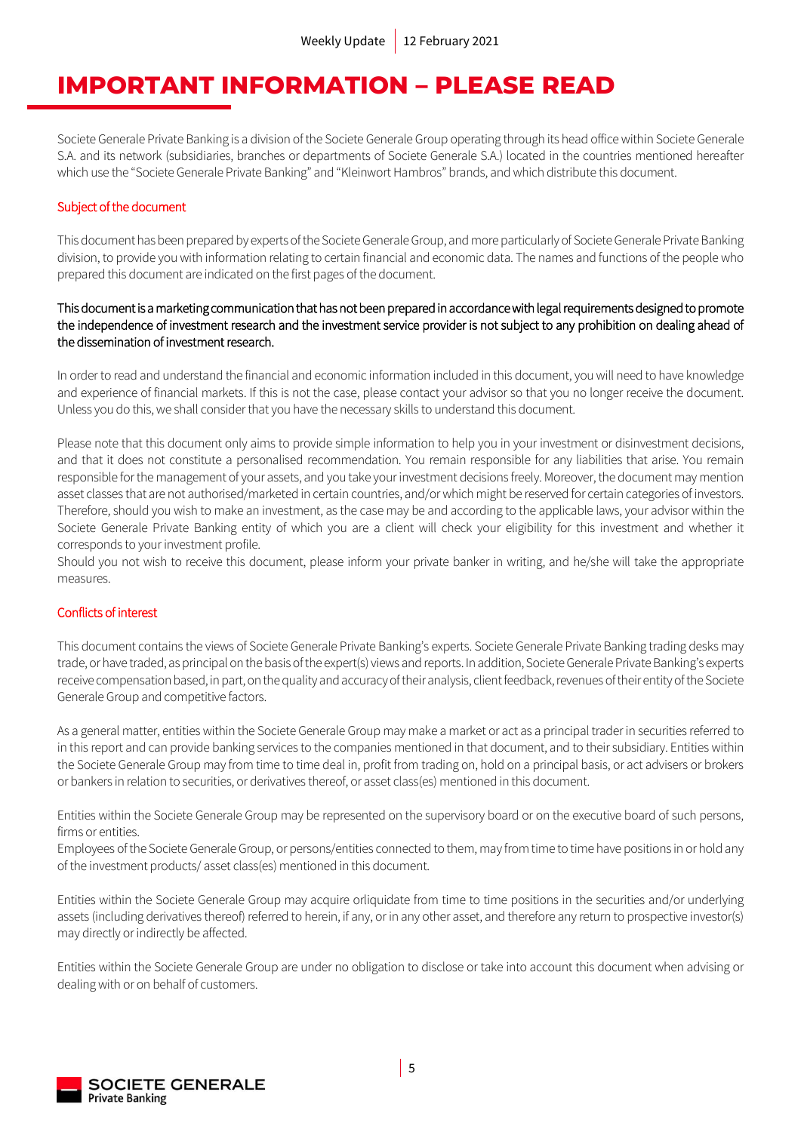### **IMPORTANT INFORMATION – PLEASE READ**

Societe Generale Private Banking is a division of the Societe Generale Group operating through its head office within Societe Generale S.A. and its network (subsidiaries, branches or departments of Societe Generale S.A.) located in the countries mentioned hereafter which use the "Societe Generale Private Banking" and "Kleinwort Hambros" brands, and which distribute this document.

### Subject of the document

This document has been prepared by experts of the Societe Generale Group, and more particularly of Societe Generale Private Banking division, to provide you with information relating to certain financial and economic data. The names and functions of the people who prepared this document are indicated on the first pages of the document.

### This document is a marketing communication that has not been prepared in accordance with legal requirements designed to promote the independence of investment research and the investment service provider is not subject to any prohibition on dealing ahead of the dissemination of investment research.

In order to read and understand the financial and economic information included in this document, you will need to have knowledge and experience of financial markets. If this is not the case, please contact your advisor so that you no longer receive the document. Unless you do this, we shall consider that you have the necessary skills to understand this document.

Please note that this document only aims to provide simple information to help you in your investment or disinvestment decisions, and that it does not constitute a personalised recommendation. You remain responsible for any liabilities that arise. You remain responsible for the management of your assets, and you take your investment decisions freely. Moreover, the document may mention asset classes that are not authorised/marketed in certain countries, and/or which might be reserved for certain categories of investors. Therefore, should you wish to make an investment, as the case may be and according to the applicable laws, your advisor within the Societe Generale Private Banking entity of which you are a client will check your eligibility for this investment and whether it corresponds to your investment profile.

Should you not wish to receive this document, please inform your private banker in writing, and he/she will take the appropriate measures.

### Conflicts of interest

This document contains the views of Societe Generale Private Banking's experts. Societe Generale Private Banking trading desks may trade, or have traded, as principal on the basis of the expert(s) views and reports. In addition, Societe Generale Private Banking's experts receive compensation based, in part, on the quality and accuracy of their analysis, client feedback, revenues of their entityof the Societe Generale Group and competitive factors.

As a general matter, entities within the Societe Generale Group may make a market or act as a principal trader in securities referred to in this report and can provide banking services to the companies mentioned in that document, and to their subsidiary. Entities within the Societe Generale Group may from time to time deal in, profit from trading on, hold on a principal basis, or act advisers or brokers or bankers in relation to securities, or derivatives thereof, or asset class(es) mentioned in this document.

Entities within the Societe Generale Group may be represented on the supervisory board or on the executive board of such persons, firms or entities.

Employees of the Societe Generale Group, or persons/entities connected to them, may from time to time have positions in or hold any of the investment products/ asset class(es) mentioned in this document.

Entities within the Societe Generale Group may acquire orliquidate from time to time positions in the securities and/or underlying assets (including derivatives thereof) referred to herein, if any, or in any other asset, and therefore any return to prospective investor(s) may directly or indirectly be affected.

Entities within the Societe Generale Group are under no obligation to disclose or take into account this document when advising or dealing with or on behalf of customers.

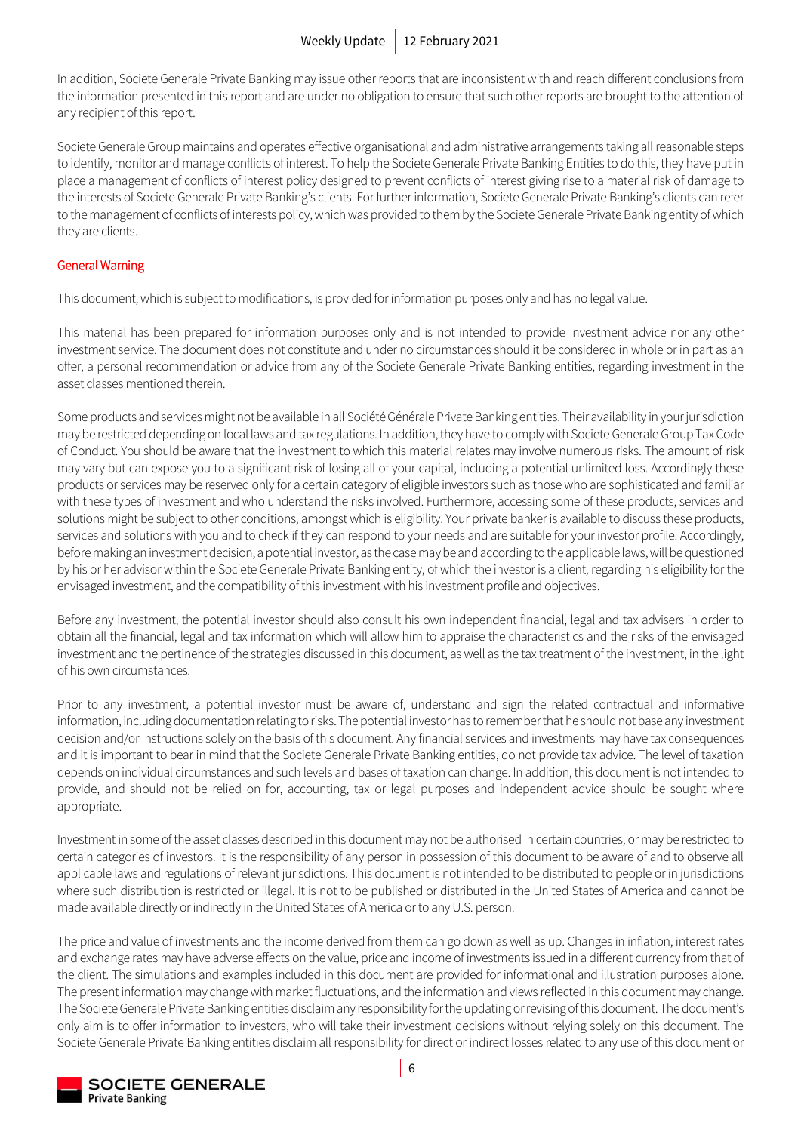In addition, Societe Generale Private Banking may issue other reports that are inconsistent with and reach different conclusions from the information presented in this report and are under no obligation to ensure that such other reports are brought to the attention of any recipient of this report.

Societe Generale Group maintains and operates effective organisational and administrative arrangements taking all reasonable steps to identify, monitor and manage conflicts of interest. To help the Societe Generale Private Banking Entities to do this, they have put in place a management of conflicts of interest policy designed to prevent conflicts of interest giving rise to a material risk of damage to the interests of Societe Generale Private Banking's clients. For further information, Societe Generale Private Banking's clients can refer to the management of conflicts of interests policy, which was provided to them by the Societe Generale Private Banking entity of which they are clients.

### General Warning

This document, which is subject to modifications, is provided for information purposes only and has no legal value.

This material has been prepared for information purposes only and is not intended to provide investment advice nor any other investment service. The document does not constitute and under no circumstances should it be considered in whole or in part as an offer, a personal recommendation or advice from any of the Societe Generale Private Banking entities, regarding investment in the asset classes mentioned therein.

Some products and services might not be available in all Société Générale Private Banking entities. Their availability in your jurisdiction may be restricted depending on local laws and tax regulations. In addition, they have to comply with Societe Generale Group Tax Code of Conduct. You should be aware that the investment to which this material relates may involve numerous risks. The amount of risk may vary but can expose you to a significant risk of losing all of your capital, including a potential unlimited loss. Accordingly these products or services may be reserved only for a certain category of eligible investors such as those who are sophisticated and familiar with these types of investment and who understand the risks involved. Furthermore, accessing some of these products, services and solutions might be subject to other conditions, amongst which is eligibility. Your private banker is available to discuss these products, services and solutions with you and to check if they can respond to your needs and are suitable for your investor profile. Accordingly, before making an investment decision, a potential investor, as the case may be and according to the applicable laws, will be questioned by his or her advisor within the Societe Generale Private Banking entity, of which the investor is a client, regarding his eligibility for the envisaged investment, and the compatibility of this investment with his investment profile and objectives.

Before any investment, the potential investor should also consult his own independent financial, legal and tax advisers in order to obtain all the financial, legal and tax information which will allow him to appraise the characteristics and the risks of the envisaged investment and the pertinence of the strategies discussed in this document, as well as the tax treatment of the investment, in the light of his own circumstances.

Prior to any investment, a potential investor must be aware of, understand and sign the related contractual and informative information, including documentation relating to risks. The potential investor has to remember that he should not base any investment decision and/or instructions solely on the basis of this document. Any financial services and investments may have tax consequences and it is important to bear in mind that the Societe Generale Private Banking entities, do not provide tax advice. The level of taxation depends on individual circumstances and such levels and bases of taxation can change. In addition, this document is not intended to provide, and should not be relied on for, accounting, tax or legal purposes and independent advice should be sought where appropriate.

Investment in some of the asset classes described in this document may not be authorised in certain countries, or may be restricted to certain categories of investors. It is the responsibility of any person in possession of this document to be aware of and to observe all applicable laws and regulations of relevant jurisdictions. This document is not intended to be distributed to people or in jurisdictions where such distribution is restricted or illegal. It is not to be published or distributed in the United States of America and cannot be made available directly or indirectly in the United States of America or to any U.S. person.

The price and value of investments and the income derived from them can go down as well as up. Changes in inflation, interest rates and exchange rates may have adverse effects on the value, price and income of investments issued in a different currency from that of the client. The simulations and examples included in this document are provided for informational and illustration purposes alone. The present information may change with market fluctuations, and the information and views reflected in this document may change. The Societe Generale Private Banking entities disclaim any responsibility for the updating or revising of this document. The document's only aim is to offer information to investors, who will take their investment decisions without relying solely on this document. The Societe Generale Private Banking entities disclaim all responsibility for direct or indirect losses related to any use of this document or

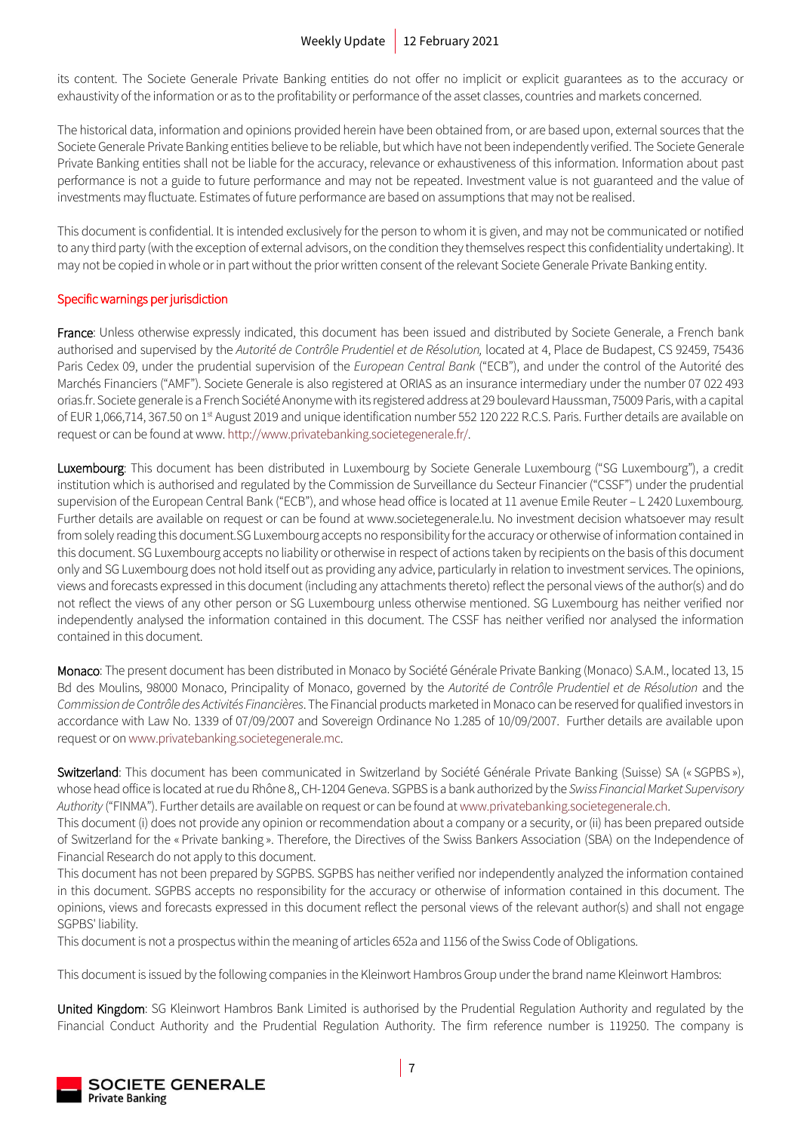its content. The Societe Generale Private Banking entities do not offer no implicit or explicit guarantees as to the accuracy or exhaustivity of the information or as to the profitability or performance of the asset classes, countries and markets concerned.

The historical data, information and opinions provided herein have been obtained from, or are based upon, external sources that the Societe Generale Private Banking entities believe to be reliable, but which have not been independently verified. The Societe Generale Private Banking entities shall not be liable for the accuracy, relevance or exhaustiveness of this information. Information about past performance is not a guide to future performance and may not be repeated. Investment value is not guaranteed and the value of investments may fluctuate. Estimates of future performance are based on assumptions that may not be realised.

This document is confidential. It is intended exclusively for the person to whom it is given, and may not be communicated or notified to any third party (with the exception of external advisors, on the condition they themselves respect this confidentiality undertaking). It may not be copied in whole or in part without the prior written consent of the relevant Societe Generale Private Banking entity.

### Specific warnings per jurisdiction

France: Unless otherwise expressly indicated, this document has been issued and distributed by Societe Generale, a French bank authorised and supervised by the *Autorité de Contrôle Prudentiel et de Résolution,* located at 4, Place de Budapest, CS 92459, 75436 Paris Cedex 09, under the prudential supervision of the *European Central Bank* ("ECB"), and under the control of the Autorité des Marchés Financiers ("AMF"). Societe Generale is also registered at ORIAS as an insurance intermediary under the number 07 022 493 orias.fr. Societe generale is a French Société Anonyme with its registered address at 29 boulevard Haussman, 75009 Paris, with a capital of EUR 1,066,714, 367.50 on 1<sup>st</sup> August 2019 and unique identification number 552 120 222 R.C.S. Paris. Further details are available on request or can be found at www[. http://www.privatebanking.societegenerale.fr/.](http://www.privatebanking.societegenerale.fr/)

Luxembourg: This document has been distributed in Luxembourg by Societe Generale Luxembourg ("SG Luxembourg"), a credit institution which is authorised and regulated by the Commission de Surveillance du Secteur Financier ("CSSF") under the prudential supervision of the European Central Bank ("ECB"), and whose head office is located at 11 avenue Emile Reuter – L 2420 Luxembourg. Further details are available on request or can be found at www.societegenerale.lu. No investment decision whatsoever may result from solely reading this document.SG Luxembourg accepts no responsibility for the accuracy or otherwise of information contained in this document. SG Luxembourg accepts no liability or otherwise in respect of actions taken by recipients on the basis of this document only and SG Luxembourg does not hold itself out as providing any advice, particularly in relation to investment services. The opinions, views and forecasts expressed in this document (including any attachments thereto) reflect the personal views of the author(s) and do not reflect the views of any other person or SG Luxembourg unless otherwise mentioned. SG Luxembourg has neither verified nor independently analysed the information contained in this document. The CSSF has neither verified nor analysed the information contained in this document.

Monaco: The present document has been distributed in Monaco by Société Générale Private Banking (Monaco) S.A.M., located 13, 15 Bd des Moulins, 98000 Monaco, Principality of Monaco, governed by the *Autorité de Contrôle Prudentiel et de Résolution* and the *Commission de Contrôle des Activités Financières*. The Financial products marketed in Monaco can be reserved for qualified investors in accordance with Law No. 1339 of 07/09/2007 and Sovereign Ordinance No 1.285 of 10/09/2007. Further details are available upon request or o[n www.privatebanking.societegenerale.mc.](http://www.privatebanking.societegenerale.mc/)

Switzerland: This document has been communicated in Switzerland by Société Générale Private Banking (Suisse) SA (« SGPBS »), whose head office is located at rue du Rhône 8,, CH-1204 Geneva. SGPBS is a bank authorized by the *Swiss Financial Market Supervisory Authority* ("FINMA"). Further details are available on request or can be found at [www.privatebanking.societegenerale.ch.](http://www.privatebanking.societegenerale.ch/)

This document (i) does not provide any opinion or recommendation about a company or a security, or (ii) has been prepared outside of Switzerland for the « Private banking ». Therefore, the Directives of the Swiss Bankers Association (SBA) on the Independence of Financial Research do not apply to this document.

This document has not been prepared by SGPBS. SGPBS has neither verified nor independently analyzed the information contained in this document. SGPBS accepts no responsibility for the accuracy or otherwise of information contained in this document. The opinions, views and forecasts expressed in this document reflect the personal views of the relevant author(s) and shall not engage SGPBS' liability.

This document is not a prospectus within the meaning of articles 652a and 1156 of the Swiss Code of Obligations.

This document is issued by the following companies in the Kleinwort Hambros Group under the brand name Kleinwort Hambros:

United Kingdom: SG Kleinwort Hambros Bank Limited is authorised by the Prudential Regulation Authority and regulated by the Financial Conduct Authority and the Prudential Regulation Authority. The firm reference number is 119250. The company is